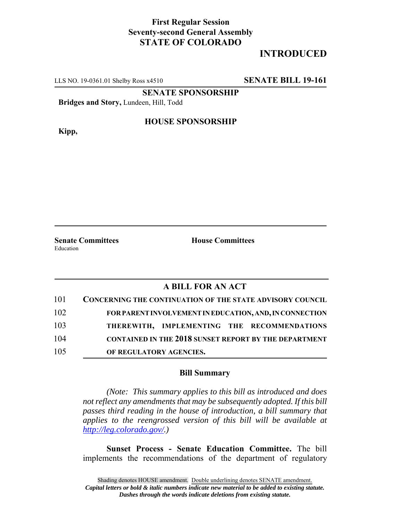## **First Regular Session Seventy-second General Assembly STATE OF COLORADO**

# **INTRODUCED**

LLS NO. 19-0361.01 Shelby Ross x4510 **SENATE BILL 19-161**

**SENATE SPONSORSHIP**

**Bridges and Story,** Lundeen, Hill, Todd

**Kipp,**

#### **HOUSE SPONSORSHIP**

**Senate Committees House Committees** Education

### **A BILL FOR AN ACT**

| 101 | <b>CONCERNING THE CONTINUATION OF THE STATE ADVISORY COUNCIL</b> |
|-----|------------------------------------------------------------------|
| 102 | FOR PARENT INVOLVEMENT IN EDUCATION, AND, IN CONNECTION          |
| 103 | THEREWITH, IMPLEMENTING THE RECOMMENDATIONS                      |
| 104 | <b>CONTAINED IN THE 2018 SUNSET REPORT BY THE DEPARTMENT</b>     |
| 105 | OF REGULATORY AGENCIES.                                          |

#### **Bill Summary**

*(Note: This summary applies to this bill as introduced and does not reflect any amendments that may be subsequently adopted. If this bill passes third reading in the house of introduction, a bill summary that applies to the reengrossed version of this bill will be available at http://leg.colorado.gov/.)*

**Sunset Process - Senate Education Committee.** The bill implements the recommendations of the department of regulatory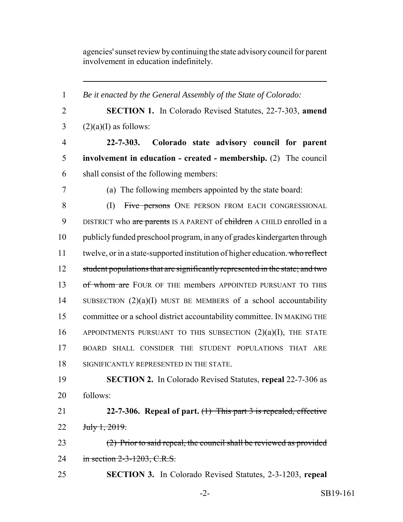agencies' sunset review by continuing the state advisory council for parent involvement in education indefinitely.

 *Be it enacted by the General Assembly of the State of Colorado:* **SECTION 1.** In Colorado Revised Statutes, 22-7-303, **amend**  $(2)(a)(I)$  as follows: **22-7-303. Colorado state advisory council for parent involvement in education - created - membership.** (2) The council shall consist of the following members: (a) The following members appointed by the state board: 8 (I) Five persons ONE PERSON FROM EACH CONGRESSIONAL 9 DISTRICT who are parents IS A PARENT of children A CHILD enrolled in a publicly funded preschool program, in any of grades kindergarten through 11 twelve, or in a state-supported institution of higher education. who reflect 12 student populations that are significantly represented in the state; and two 13 of whom are FOUR OF THE members APPOINTED PURSUANT TO THIS 14 SUBSECTION  $(2)(a)(I)$  MUST BE MEMBERS of a school accountability committee or a school district accountability committee. IN MAKING THE 16 APPOINTMENTS PURSUANT TO THIS SUBSECTION  $(2)(a)(I)$ , THE STATE BOARD SHALL CONSIDER THE STUDENT POPULATIONS THAT ARE SIGNIFICANTLY REPRESENTED IN THE STATE. **SECTION 2.** In Colorado Revised Statutes, **repeal** 22-7-306 as 20 follows: **22-7-306. Repeal of part.** (1) This part 3 is repealed, effective July 1, 2019. (2) Prior to said repeal, the council shall be reviewed as provided 24 in section 2-3-1203, C.R.S. **SECTION 3.** In Colorado Revised Statutes, 2-3-1203, **repeal**